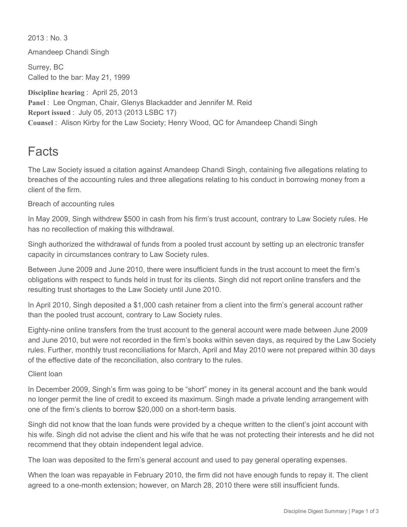$2013 \cdot$  No. 3

Amandeep Chandi Singh

Surrey, BC Called to the bar: May 21, 1999

**Discipline hearing** : April 25, 2013 **Panel** : Lee Ongman, Chair, Glenys Blackadder and Jennifer M. Reid **Report issued** : July 05, 2013 (2013 LSBC 17) **Counsel** : Alison Kirby for the Law Society; Henry Wood, QC for Amandeep Chandi Singh

## Facts

The Law Society issued a citation against Amandeep Chandi Singh, containing five allegations relating to breaches of the accounting rules and three allegations relating to his conduct in borrowing money from a client of the firm.

Breach of accounting rules

In May 2009, Singh withdrew \$500 in cash from his firm's trust account, contrary to Law Society rules. He has no recollection of making this withdrawal.

Singh authorized the withdrawal of funds from a pooled trust account by setting up an electronic transfer capacity in circumstances contrary to Law Society rules.

Between June 2009 and June 2010, there were insufficient funds in the trust account to meet the firm's obligations with respect to funds held in trust for its clients. Singh did not report online transfers and the resulting trust shortages to the Law Society until June 2010.

In April 2010, Singh deposited a \$1,000 cash retainer from a client into the firm's general account rather than the pooled trust account, contrary to Law Society rules.

Eighty-nine online transfers from the trust account to the general account were made between June 2009 and June 2010, but were not recorded in the firm's books within seven days, as required by the Law Society rules. Further, monthly trust reconciliations for March, April and May 2010 were not prepared within 30 days of the effective date of the reconciliation, also contrary to the rules.

## Client loan

In December 2009, Singh's firm was going to be "short" money in its general account and the bank would no longer permit the line of credit to exceed its maximum. Singh made a private lending arrangement with one of the firm's clients to borrow \$20,000 on a short-term basis.

Singh did not know that the loan funds were provided by a cheque written to the client's joint account with his wife. Singh did not advise the client and his wife that he was not protecting their interests and he did not recommend that they obtain independent legal advice.

The loan was deposited to the firm's general account and used to pay general operating expenses.

When the loan was repayable in February 2010, the firm did not have enough funds to repay it. The client agreed to a one-month extension; however, on March 28, 2010 there were still insufficient funds.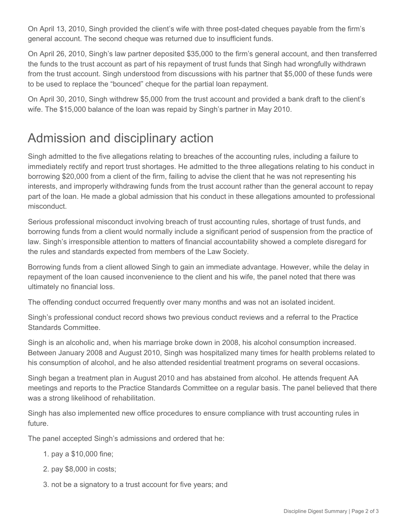On April 13, 2010, Singh provided the client's wife with three post-dated cheques payable from the firm's general account. The second cheque was returned due to insufficient funds.

On April 26, 2010, Singh's law partner deposited \$35,000 to the firm's general account, and then transferred the funds to the trust account as part of his repayment of trust funds that Singh had wrongfully withdrawn from the trust account. Singh understood from discussions with his partner that \$5,000 of these funds were to be used to replace the "bounced" cheque for the partial loan repayment.

On April 30, 2010, Singh withdrew \$5,000 from the trust account and provided a bank draft to the client's wife. The \$15,000 balance of the loan was repaid by Singh's partner in May 2010.

## Admission and disciplinary action

Singh admitted to the five allegations relating to breaches of the accounting rules, including a failure to immediately rectify and report trust shortages. He admitted to the three allegations relating to his conduct in borrowing \$20,000 from a client of the firm, failing to advise the client that he was not representing his interests, and improperly withdrawing funds from the trust account rather than the general account to repay part of the loan. He made a global admission that his conduct in these allegations amounted to professional misconduct.

Serious professional misconduct involving breach of trust accounting rules, shortage of trust funds, and borrowing funds from a client would normally include a significant period of suspension from the practice of law. Singh's irresponsible attention to matters of financial accountability showed a complete disregard for the rules and standards expected from members of the Law Society.

Borrowing funds from a client allowed Singh to gain an immediate advantage. However, while the delay in repayment of the loan caused inconvenience to the client and his wife, the panel noted that there was ultimately no financial loss.

The offending conduct occurred frequently over many months and was not an isolated incident.

Singh's professional conduct record shows two previous conduct reviews and a referral to the Practice Standards Committee.

Singh is an alcoholic and, when his marriage broke down in 2008, his alcohol consumption increased. Between January 2008 and August 2010, Singh was hospitalized many times for health problems related to his consumption of alcohol, and he also attended residential treatment programs on several occasions.

Singh began a treatment plan in August 2010 and has abstained from alcohol. He attends frequent AA meetings and reports to the Practice Standards Committee on a regular basis. The panel believed that there was a strong likelihood of rehabilitation.

Singh has also implemented new office procedures to ensure compliance with trust accounting rules in future.

The panel accepted Singh's admissions and ordered that he:

- 1. pay a \$10,000 fine;
- 2. pay \$8,000 in costs;
- 3. not be a signatory to a trust account for five years; and